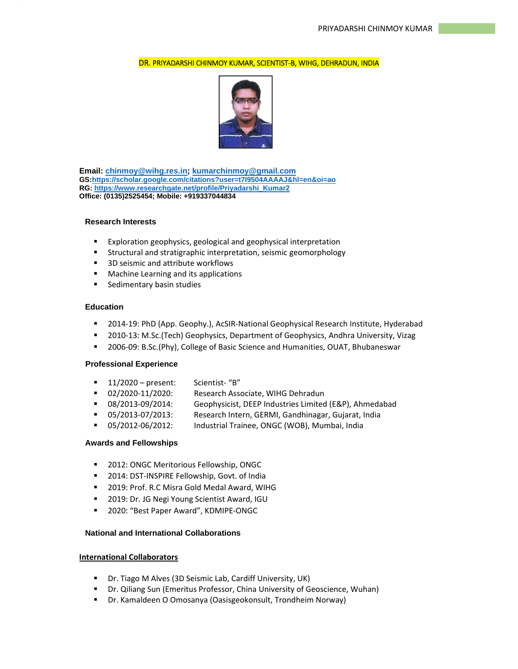## DR. PRIYADARSHI CHINMOY KUMAR, SCIENTIST‐B, WIHG, DEHRADUN, INDIA



**Email: chinmoy@wihg.res.in; kumarchinmoy@gmail.com GS:https://scholar.google.com/citations?user=t7I9504AAAAJ&hl=en&oi=ao RG: https://www.researchgate.net/profile/Priyadarshi\_Kumar2 Office: (0135)2525454; Mobile: +919337044834** 

#### **Research Interests**

- **Exploration geophysics, geological and geophysical interpretation**
- Structural and stratigraphic interpretation, seismic geomorphology
- 3D seismic and attribute workflows
- Machine Learning and its applications
- **Sedimentary basin studies**

#### **Education**

- 2014-19: PhD (App. Geophy.), AcSIR-National Geophysical Research Institute, Hyderabad
- 2010-13: M.Sc.(Tech) Geophysics, Department of Geophysics, Andhra University, Vizag
- 2006-09: B.Sc.(Phy), College of Basic Science and Humanities, OUAT, Bhubaneswar

### **Professional Experience**

- $11/2020$  present: Scientist- "B"
- 02/2020-11/2020: Research Associate, WIHG Dehradun
- 08/2013-09/2014: Geophysicist, DEEP Industries Limited (E&P), Ahmedabad
- 05/2013-07/2013: Research Intern, GERMI, Gandhinagar, Gujarat, India
- 05/2012-06/2012: Industrial Trainee, ONGC (WOB), Mumbai, India

# **Awards and Fellowships**

- **2012: ONGC Meritorious Fellowship, ONGC**
- **2014: DST-INSPIRE Fellowship, Govt. of India**
- **2019: Prof. R.C Misra Gold Medal Award, WIHG**
- 2019: Dr. JG Negi Young Scientist Award, IGU
- 2020: "Best Paper Award", KDMIPE-ONGC

# **National and International Collaborations**

# **International Collaborators**

- Dr. Tiago M Alves (3D Seismic Lab, Cardiff University, UK)
- Dr. Qiliang Sun (Emeritus Professor, China University of Geoscience, Wuhan)
- Dr. Kamaldeen O Omosanya (Oasisgeokonsult, Trondheim Norway)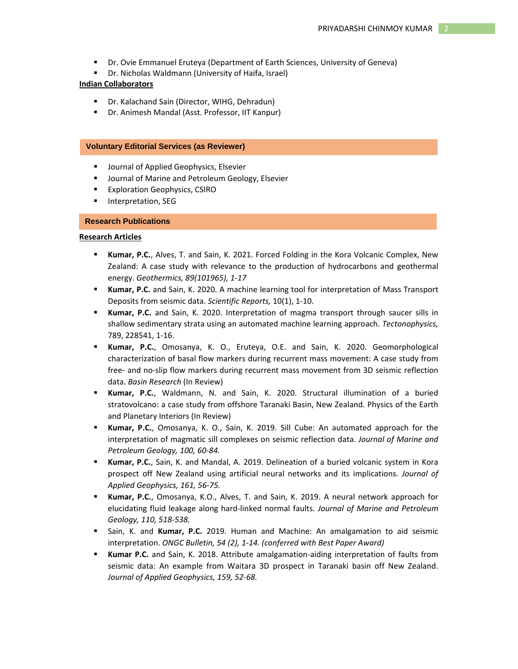- Dr. Ovie Emmanuel Eruteya (Department of Earth Sciences, University of Geneva)
- Dr. Nicholas Waldmann (University of Haifa, Israel)

#### **Indian Collaborators**

- Dr. Kalachand Sain (Director, WIHG, Dehradun)
- Dr. Animesh Mandal (Asst. Professor, IIT Kanpur)

#### **Voluntary Editorial Services (as Reviewer)**

- **Journal of Applied Geophysics, Elsevier**
- Journal of Marine and Petroleum Geology, Elsevier
- Exploration Geophysics, CSIRO
- Interpretation, SEG

#### **Research Publications**

#### **Research Articles**

- **Kumar, P.C.**, Alves, T. and Sain, K. 2021. Forced Folding in the Kora Volcanic Complex, New Zealand: A case study with relevance to the production of hydrocarbons and geothermal energy. *Geothermics, 89(101965), 1-17*
- **Kumar, P.C.** and Sain, K. 2020. A machine learning tool for interpretation of Mass Transport Deposits from seismic data. *Scientific Reports,* 10(1), 1-10.
- **Kumar, P.C.** and Sain, K. 2020. Interpretation of magma transport through saucer sills in shallow sedimentary strata using an automated machine learning approach. *Tectonophysics,*  789, 228541, 1-16.
- **Kumar, P.C.**, Omosanya, K. O., Eruteya, O.E. and Sain, K. 2020. Geomorphological characterization of basal flow markers during recurrent mass movement: A case study from free- and no-slip flow markers during recurrent mass movement from 3D seismic reflection data. *Basin Research* (In Review)
- **Kumar, P.C.**, Waldmann, N. and Sain, K. 2020. Structural illumination of a buried stratovolcano: a case study from offshore Taranaki Basin, New Zealand. Physics of the Earth and Planetary Interiors (In Review)
- **Kumar, P.C.**, Omosanya, K. O., Sain, K. 2019. Sill Cube: An automated approach for the interpretation of magmatic sill complexes on seismic reflection data. *Journal of Marine and Petroleum Geology, 100, 60-84.*
- **Kumar, P.C.**, Sain, K. and Mandal, A. 2019. Delineation of a buried volcanic system in Kora prospect off New Zealand using artificial neural networks and its implications. *Journal of Applied Geophysics, 161, 56-75.*
- **Kumar, P.C.**, Omosanya, K.O., Alves, T. and Sain, K. 2019. A neural network approach for elucidating fluid leakage along hard-linked normal faults. *Journal of Marine and Petroleum Geology, 110, 518-538.*
- Sain, K. and **Kumar, P.C.** 2019. Human and Machine: An amalgamation to aid seismic interpretation. *ONGC Bulletin, 54 (2), 1-14. (conferred with Best Paper Award)*
- **Kumar P.C.** and Sain, K. 2018. Attribute amalgamation-aiding interpretation of faults from seismic data: An example from Waitara 3D prospect in Taranaki basin off New Zealand. *Journal of Applied Geophysics, 159, 52-68.*